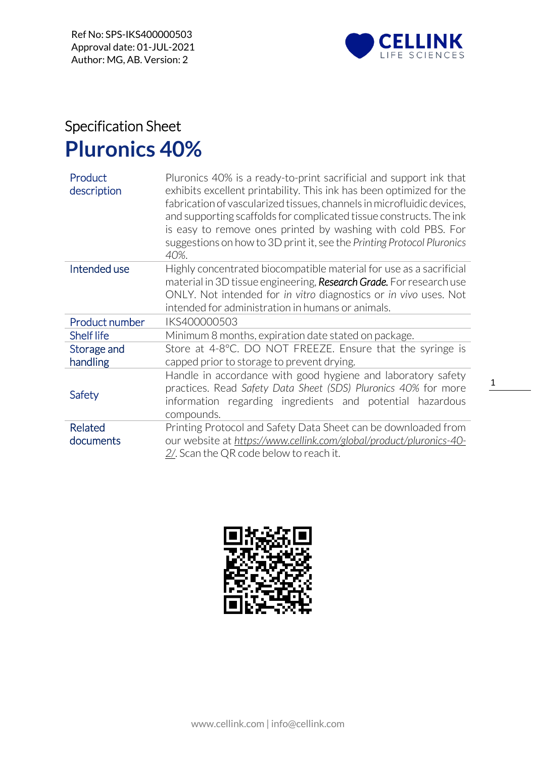

## Specification Sheet **Pluronics 40%**

| Product<br>description  | Pluronics 40% is a ready-to-print sacrificial and support ink that<br>exhibits excellent printability. This ink has been optimized for the<br>fabrication of vascularized tissues, channels in microfluidic devices,<br>and supporting scaffolds for complicated tissue constructs. The ink<br>is easy to remove ones printed by washing with cold PBS. For<br>suggestions on how to 3D print it, see the Printing Protocol Pluronics<br>40%. |  |
|-------------------------|-----------------------------------------------------------------------------------------------------------------------------------------------------------------------------------------------------------------------------------------------------------------------------------------------------------------------------------------------------------------------------------------------------------------------------------------------|--|
| Intended use            | Highly concentrated biocompatible material for use as a sacrificial<br>material in 3D tissue engineering, Research Grade. For research use                                                                                                                                                                                                                                                                                                    |  |
|                         | ONLY. Not intended for in vitro diagnostics or in vivo uses. Not                                                                                                                                                                                                                                                                                                                                                                              |  |
|                         | intended for administration in humans or animals.                                                                                                                                                                                                                                                                                                                                                                                             |  |
| Product number          | IKS400000503                                                                                                                                                                                                                                                                                                                                                                                                                                  |  |
|                         |                                                                                                                                                                                                                                                                                                                                                                                                                                               |  |
| <b>Shelf life</b>       | Minimum 8 months, expiration date stated on package.                                                                                                                                                                                                                                                                                                                                                                                          |  |
| Storage and<br>handling | Store at 4-8°C. DO NOT FREEZE. Ensure that the syringe is<br>capped prior to storage to prevent drying.                                                                                                                                                                                                                                                                                                                                       |  |
| Safety                  | Handle in accordance with good hygiene and laboratory safety<br>practices. Read Safety Data Sheet (SDS) Pluronics 40% for more<br>information regarding ingredients and potential hazardous<br>compounds.                                                                                                                                                                                                                                     |  |